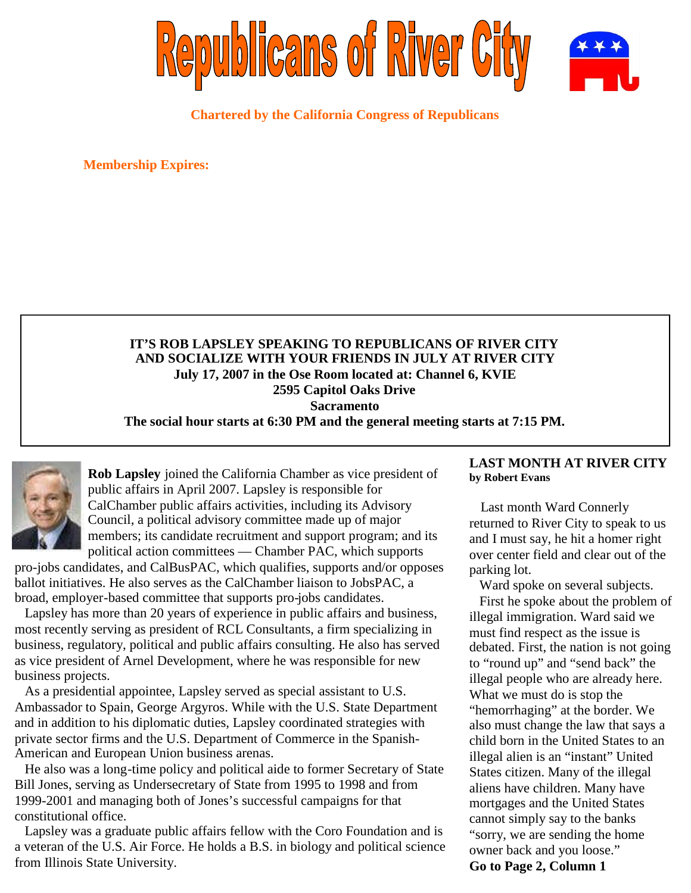

**Chartered by the California Congress of Republicans**

**Membership Expires:**

## **IT'S ROB LAPSLEY SPEAKING TO REPUBLICANS OF RIVER CITY AND SOCIALIZE WITH YOUR FRIENDS IN JULY AT RIVER CITY July 17, 2007 in the Ose Room located at: Channel 6, KVIE 2595 Capitol Oaks Drive Sacramento The social hour starts at 6:30 PM and the general meeting starts at 7:15 PM.**



**Rob Lapsley** joined the California Chamber as vice president of public affairs in April 2007. Lapsley is responsible for CalChamber public affairs activities, including its Advisory Council, a political advisory committee made up of major members; its candidate recruitment and support program; and its political action committees — Chamber PAC, which supports

pro-jobs candidates, and CalBusPAC, which qualifies, supports and/or opposes ballot initiatives. He also serves as the CalChamber liaison to JobsPAC, a broad, employer-based committee that supports pro-jobs candidates.

Lapsley has more than 20 years of experience in public affairs and business, most recently serving as president of RCL Consultants, a firm specializing in business, regulatory, political and public affairs consulting. He also has served as vice president of Arnel Development, where he was responsible for new business projects.

As a presidential appointee, Lapsley served as special assistant to U.S. Ambassador to Spain, George Argyros. While with the U.S. State Department and in addition to his diplomatic duties, Lapsley coordinated strategies with private sector firms and the U.S. Department of Commerce in the Spanish-American and European Union business arenas.

He also was a long-time policy and political aide to former Secretary of State Bill Jones, serving as Undersecretary of State from 1995 to 1998 and from 1999-2001 and managing both of Jones's successful campaigns for that constitutional office.

Lapsley was a graduate public affairs fellow with the Coro Foundation and is a veteran of the U.S. Air Force. He holds a B.S. in biology and political science from Illinois State University.

### **LAST MONTH AT RIVER CITY by Robert Evans**

Last month Ward Connerly returned to River City to speak to us and I must say, he hit a homer right over center field and clear out of the parking lot.

Ward spoke on several subjects. First he spoke about the problem of illegal immigration. Ward said we must find respect as the issue is debated. First, the nation is not going to "round up" and "send back" the illegal people who are already here. What we must do is stop the "hemorrhaging" at the border. We also must change the law that says a child born in the United States to an illegal alien is an "instant" United States citizen. Many of the illegal aliens have children. Many have mortgages and the United States cannot simply say to the banks "sorry, we are sending the home owner back and you loose." **Go to Page 2, Column 1**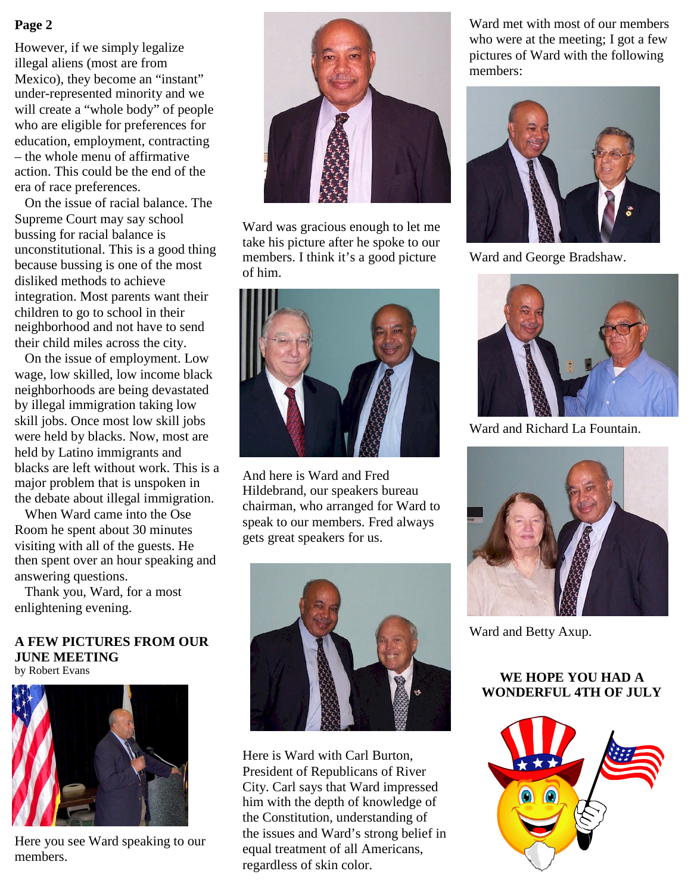However, if we simply legalize illegal aliens (most are from Mexico), they become an "instant" under-represented minority and we will create a "whole body" of people who are eligible for preferences for education, employment, contracting – the whole menu of affirmative action. This could be the end of the era of race preferences.

On the issue of racial balance. The Supreme Court may say school bussing for racial balance is unconstitutional. This is a good thing because bussing is one of the most disliked methods to achieve integration. Most parents want their children to go to school in their neighborhood and not have to send their child miles across the city.

On the issue of employment. Low wage, low skilled, low income black neighborhoods are being devastated by illegal immigration taking low skill jobs. Once most low skill jobs were held by blacks. Now, most are held by Latino immigrants and blacks are left without work. This is a major problem that is unspoken in the debate about illegal immigration.

When Ward came into the Ose Room he spent about 30 minutes visiting with all of the guests. He then spent over an hour speaking and answering questions.

Thank you, Ward, for a most enlightening evening.

#### **A FEW PICTURES FROM OUR JUNE MEETING** by Robert Evans



Here you see Ward speaking to our members.



Ward was gracious enough to let me take his picture after he spoke to our members. I think it's a good picture of him.



And here is Ward and Fred Hildebrand, our speakers bureau chairman, who arranged for Ward to speak to our members. Fred always gets great speakers for us.



Here is Ward with Carl Burton, President of Republicans of River City. Carl says that Ward impressed him with the depth of knowledge of the Constitution, understanding of the issues and Ward's strong belief in equal treatment of all Americans, regardless of skin color.

who were at the meeting; I got a few pictures of Ward with the following members:



Ward and George Bradshaw.



Ward and Richard La Fountain.



Ward and Betty Axup.

# **WE HOPE YOU HAD A WONDERFUL 4TH OF JULY**

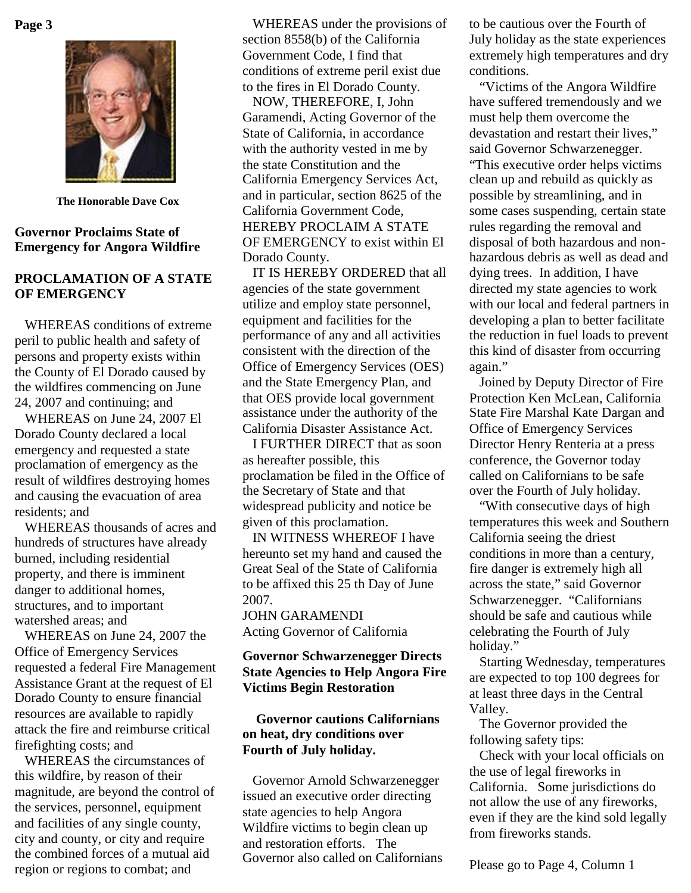

**The Honorable Dave Cox**

### **Governor Proclaims State of Emergency for Angora Wildfire**

## **PROCLAMATION OF A STATE OF EMERGENCY**

WHEREAS conditions of extreme peril to public health and safety of persons and property exists within the County of El Dorado caused by the wildfires commencing on June 24, 2007 and continuing; and

WHEREAS on June 24, 2007 El Dorado County declared a local emergency and requested a state proclamation of emergency as the result of wildfires destroying homes and causing the evacuation of area residents; and

WHEREAS thousands of acres and hundreds of structures have already burned, including residential property, and there is imminent danger to additional homes, structures, and to important watershed areas; and

WHEREAS on June 24, 2007 the Office of Emergency Services requested a federal Fire Management Assistance Grant at the request of El Dorado County to ensure financial resources are available to rapidly attack the fire and reimburse critical firefighting costs; and

WHEREAS the circumstances of this wildfire, by reason of their magnitude, are beyond the control of the services, personnel, equipment and facilities of any single county, city and county, or city and require the combined forces of a mutual aid region or regions to combat; and

**Page 3** WHEREAS under the provisions of to be cautious over the Fourth of section 8558(b) of the California Government Code, I find that conditions of extreme peril exist due to the fires in El Dorado County.

> NOW, THEREFORE, I, John Garamendi, Acting Governor of the State of California, in accordance with the authority vested in me by the state Constitution and the California Emergency Services Act, and in particular, section 8625 of the California Government Code, HEREBY PROCLAIM A STATE OF EMERGENCY to exist within El Dorado County.

IT IS HEREBY ORDERED that all agencies of the state government utilize and employ state personnel, equipment and facilities for the performance of any and all activities consistent with the direction of the Office of Emergency Services (OES) and the State Emergency Plan, and that OES provide local government assistance under the authority of the California Disaster Assistance Act.

I FURTHER DIRECT that as soon as hereafter possible, this proclamation be filed in the Office of the Secretary of State and that widespread publicity and notice be given of this proclamation.

IN WITNESS WHEREOF I have hereunto set my hand and caused the Great Seal of the State of California to be affixed this 25 th Day of June 2007.

JOHN GARAMENDI Acting Governor of California

## **Governor Schwarzenegger Directs State Agencies to Help Angora Fire Victims Begin Restoration**

## **Governor cautions Californians on heat, dry conditions over Fourth of July holiday.**

Governor Arnold Schwarzenegger issued an executive order directing state agencies to help Angora Wildfire victims to begin clean up and restoration efforts. The Governor also called on Californians July holiday as the state experiences extremely high temperatures and dry conditions.

"Victims of the Angora Wildfire have suffered tremendously and we must help them overcome the devastation and restart their lives," said Governor Schwarzenegger. "This executive order helps victims clean up and rebuild as quickly as possible by streamlining, and in some cases suspending, certain state rules regarding the removal and disposal of both hazardous and nonhazardous debris as well as dead and dying trees. In addition, I have directed my state agencies to work with our local and federal partners in developing a plan to better facilitate the reduction in fuel loads to prevent this kind of disaster from occurring again."

Joined by Deputy Director of Fire Protection Ken McLean, California State Fire Marshal Kate Dargan and Office of Emergency Services Director Henry Renteria at a press conference, the Governor today called on Californians to be safe over the Fourth of July holiday.

"With consecutive days of high temperatures this week and Southern California seeing the driest conditions in more than a century, fire danger is extremely high all across the state," said Governor Schwarzenegger. "Californians should be safe and cautious while celebrating the Fourth of July holiday."

Starting Wednesday, temperatures are expected to top 100 degrees for at least three days in the Central Valley.

The Governor provided the following safety tips:

Check with your local officials on the use of legal fireworks in California. Some jurisdictions do not allow the use of any fireworks, even if they are the kind sold legally from fireworks stands.

Please go to Page 4, Column 1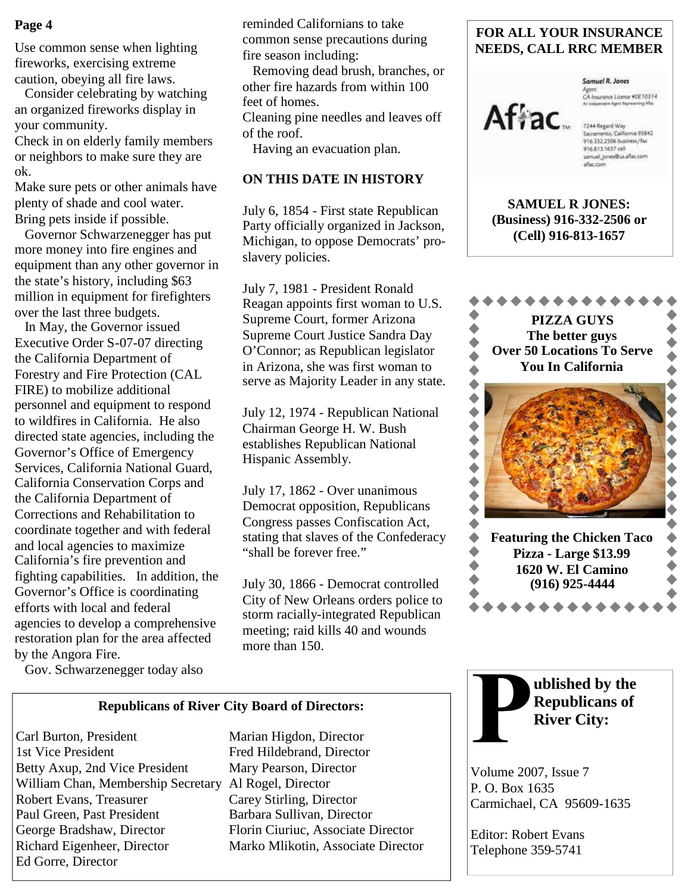## **Page 4**

Use common sense when lighting fireworks, exercising extreme caution, obeying all fire laws.

Consider celebrating by watching an organized fireworks display in your community.

Check in on elderly family members or neighbors to make sure they are ok.

Make sure pets or other animals have plenty of shade and cool water. Bring pets inside if possible.

Governor Schwarzenegger has put more money into fire engines and equipment than any other governor in the state's history, including \$63 million in equipment for firefighters over the last three budgets.

In May, the Governor issued Executive Order S-07-07 directing the California Department of Forestry and Fire Protection (CAL FIRE) to mobilize additional personnel and equipment to respond to wildfires in California. He also directed state agencies, including the Governor's Office of Emergency Services, California National Guard, California Conservation Corps and the California Department of Corrections and Rehabilitation to coordinate together and with federal and local agencies to maximize California's fire prevention and fighting capabilities. In addition, the Governor's Office is coordinating efforts with local and federal agencies to develop a comprehensive restoration plan for the area affected by the Angora Fire.

Gov. Schwarzenegger today also

reminded Californians to take common sense precautions during fire season including:

Removing dead brush, branches, or other fire hazards from within 100 feet of homes.

Cleaning pine needles and leaves off of the roof.

Having an evacuation plan.

### **ON THIS DATE IN HISTORY**

July 6, 1854 - First state Republican Party officially organized in Jackson, Michigan, to oppose Democrats' proslavery policies.

July 7, 1981 - President Ronald Reagan appoints first woman to U.S. Supreme Court, former Arizona Supreme Court Justice Sandra Day O'Connor; as Republican legislator in Arizona, she was first woman to serve as Majority Leader in any state.

July 12, 1974 - Republican National Chairman George H. W. Bush establishes Republican National Hispanic Assembly.

July 17, 1862 - Over unanimous Democrat opposition, Republicans Congress passes Confiscation Act, stating that slaves of the Confederacy "shall be forever free."

July 30, 1866 - Democrat controlled City of New Orleans orders police to storm racially-integrated Republican meeting; raid kills 40 and wounds more than 150.

## **FOR ALL YOUR INSURANCE NEEDS, CALL RRC MEMBER**



**Samuel R. Jones** Agent<br>CA Insurance License #0E10314<br>As Integerates Agent Representing Mac

samuel\_jones@us.aflac.com aflac.com

**SAMUEL R JONES: (Business) 916-332-2506 or (Cell) 916-813-1657**



**ublished by the Republicans of**

**River City:**

Volume 2007, Issue 7

Editor: Robert Evans Telephone 359-5741

Carmichael, CA 95609-1635

P. O. Box 1635

**Republicans of River City Board of Directors:**

Carl Burton, President Marian Higdon, Director 1st Vice President Fred Hildebrand, Director Betty Axup, 2nd Vice President Mary Pearson, Director William Chan, Membership Secretary Al Rogel, Director Robert Evans, Treasurer Carey Stirling, Director Paul Green, Past President Barbara Sullivan, Director George Bradshaw, Director Florin Ciuriuc, Associate Director Richard Eigenheer, Director Marko Mlikotin, Associate Director Ed Gorre, Director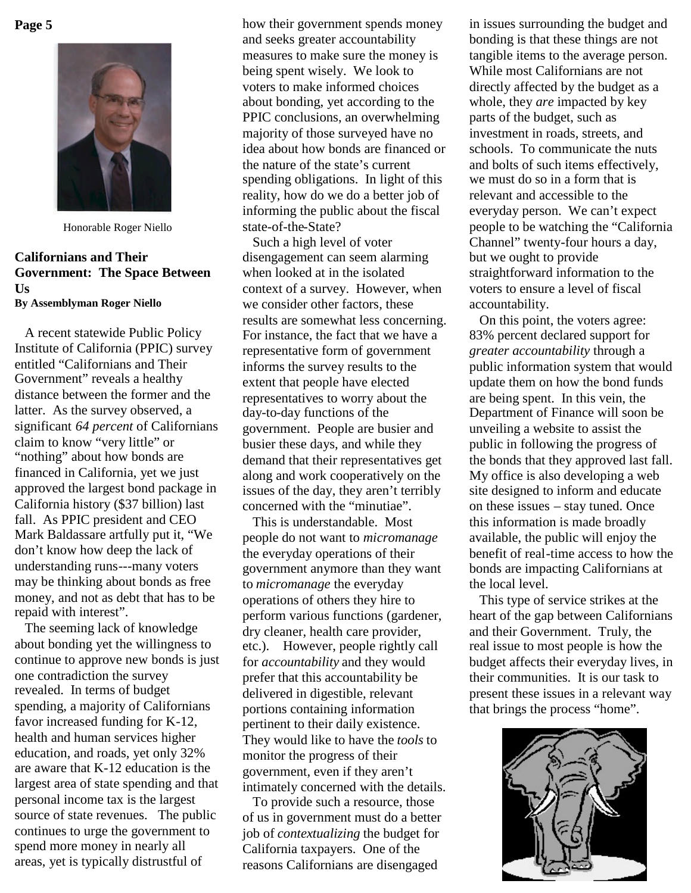#### **Page 5**



Honorable Roger Niello

## **Californians and Their Government: The Space Between Us By Assemblyman Roger Niello**

A recent statewide Public Policy Institute of California (PPIC) survey entitled "Californians and Their Government" reveals a healthy distance between the former and the latter. As the survey observed, a significant *64 percent* of Californians claim to know "very little" or "nothing" about how bonds are financed in California, yet we just approved the largest bond package in California history (\$37 billion) last fall. As PPIC president and CEO Mark Baldassare artfully put it, "We don't know how deep the lack of understanding runs---many voters may be thinking about bonds as free money, and not as debt that has to be repaid with interest".

The seeming lack of knowledge about bonding yet the willingness to continue to approve new bonds is just one contradiction the survey revealed. In terms of budget spending, a majority of Californians favor increased funding for K-12, health and human services higher education, and roads, yet only 32% are aware that K-12 education is the largest area of state spending and that personal income tax is the largest source of state revenues. The public continues to urge the government to spend more money in nearly all areas, yet is typically distrustful of

how their government spends money and seeks greater accountability measures to make sure the money is being spent wisely. We look to voters to make informed choices about bonding, yet according to the PPIC conclusions, an overwhelming majority of those surveyed have no idea about how bonds are financed or the nature of the state's current spending obligations. In light of this reality, how do we do a better job of informing the public about the fiscal state-of-the-State?

Such a high level of voter disengagement can seem alarming when looked at in the isolated context of a survey. However, when we consider other factors, these results are somewhat less concerning. For instance, the fact that we have a representative form of government informs the survey results to the extent that people have elected representatives to worry about the day-to-day functions of the government. People are busier and busier these days, and while they demand that their representatives get along and work cooperatively on the issues of the day, they aren't terribly concerned with the "minutiae".

This is understandable. Most people do not want to *micromanage* the everyday operations of their government anymore than they want to *micromanage* the everyday operations of others they hire to perform various functions (gardener, dry cleaner, health care provider, etc.). However, people rightly call for *accountability* and they would prefer that this accountability be delivered in digestible, relevant portions containing information pertinent to their daily existence. They would like to have the *tools* to monitor the progress of their government, even if they aren't intimately concerned with the details.

To provide such a resource, those of us in government must do a better job of *contextualizing* the budget for California taxpayers. One of the reasons Californians are disengaged

in issues surrounding the budget and bonding is that these things are not tangible items to the average person. While most Californians are not directly affected by the budget as a whole, they *are* impacted by key parts of the budget, such as investment in roads, streets, and schools. To communicate the nuts and bolts of such items effectively, we must do so in a form that is relevant and accessible to the everyday person. We can't expect people to be watching the "California Channel" twenty-four hours a day, but we ought to provide straightforward information to the voters to ensure a level of fiscal accountability.

On this point, the voters agree: 83% percent declared support for *greater accountability* through a public information system that would update them on how the bond funds are being spent. In this vein, the Department of Finance will soon be unveiling a website to assist the public in following the progress of the bonds that they approved last fall. My office is also developing a web site designed to inform and educate on these issues – stay tuned. Once this information is made broadly available, the public will enjoy the benefit of real-time access to how the bonds are impacting Californians at the local level.

This type of service strikes at the heart of the gap between Californians and their Government. Truly, the real issue to most people is how the budget affects their everyday lives, in their communities. It is our task to present these issues in a relevant way that brings the process "home".